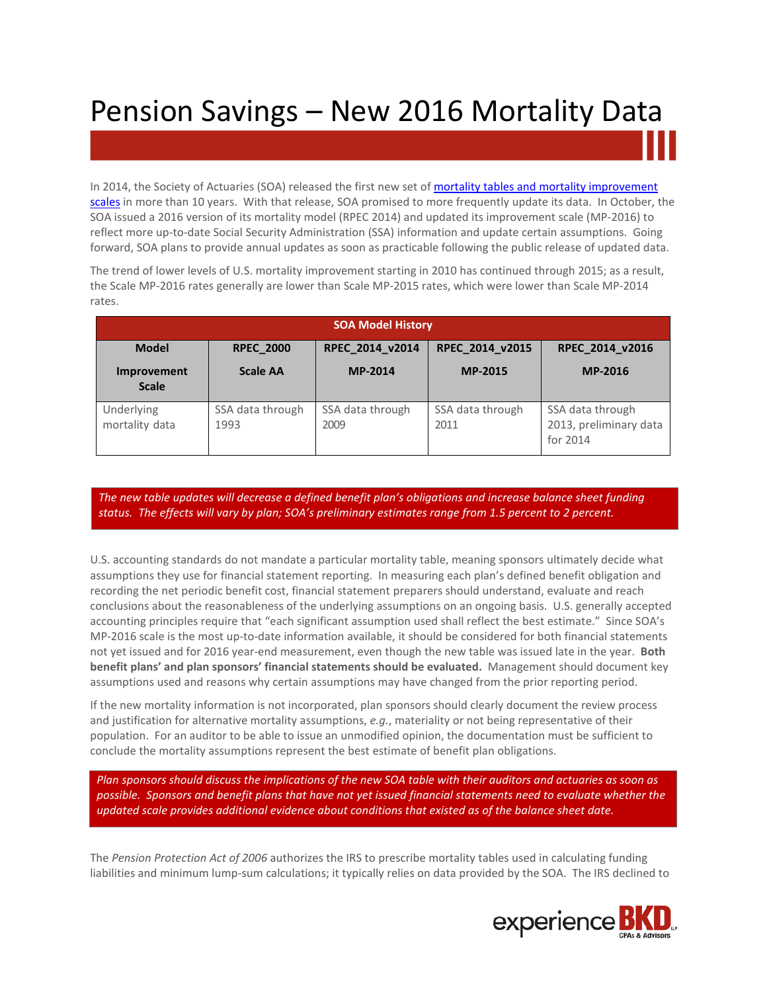## Pension Savings – New 2016 Mortality Data

In 2014, the Society of Actuaries (SOA) released the first new set of mortality tables and mortality improvement [scales](http://www.bkd.com/docs/pdf/Potential-Impacts-of-New-Mortality-Tables-on-2014-Benefit-Plan-Financial-Statements.pdf) in more than 10 years. With that release, SOA promised to more frequently update its data. In October, the SOA issued a 2016 version of its mortality model (RPEC 2014) and updated its improvement scale (MP-2016) to reflect more up-to-date Social Security Administration (SSA) information and update certain assumptions. Going forward, SOA plans to provide annual updates as soon as practicable following the public release of updated data.

The trend of lower levels of U.S. mortality improvement starting in 2010 has continued through 2015; as a result, the Scale MP-2016 rates generally are lower than Scale MP-2015 rates, which were lower than Scale MP-2014 rates.

| <b>SOA Model History</b>           |                          |                          |                          |                                                        |
|------------------------------------|--------------------------|--------------------------|--------------------------|--------------------------------------------------------|
| <b>Model</b>                       | <b>RPEC 2000</b>         | RPEC_2014_v2014          | RPEC 2014 v2015          | RPEC 2014 v2016                                        |
| <b>Improvement</b><br><b>Scale</b> | <b>Scale AA</b>          | MP-2014                  | <b>MP-2015</b>           | <b>MP-2016</b>                                         |
| Underlying<br>mortality data       | SSA data through<br>1993 | SSA data through<br>2009 | SSA data through<br>2011 | SSA data through<br>2013, preliminary data<br>for 2014 |

*The new table updates will decrease a defined benefit plan's obligations and increase balance sheet funding status. The effects will vary by plan; SOA's preliminary estimates range from 1.5 percent to 2 percent.*

U.S. accounting standards do not mandate a particular mortality table, meaning sponsors ultimately decide what assumptions they use for financial statement reporting. In measuring each plan's defined benefit obligation and recording the net periodic benefit cost, financial statement preparers should understand, evaluate and reach conclusions about the reasonableness of the underlying assumptions on an ongoing basis. U.S. generally accepted accounting principles require that "each significant assumption used shall reflect the best estimate." Since SOA's MP-2016 scale is the most up-to-date information available, it should be considered for both financial statements not yet issued and for 2016 year-end measurement, even though the new table was issued late in the year. **Both benefit plans' and plan sponsors' financial statements should be evaluated.** Management should document key assumptions used and reasons why certain assumptions may have changed from the prior reporting period.

If the new mortality information is not incorporated, plan sponsors should clearly document the review process and justification for alternative mortality assumptions, *e.g.*, materiality or not being representative of their population. For an auditor to be able to issue an unmodified opinion, the documentation must be sufficient to conclude the mortality assumptions represent the best estimate of benefit plan obligations.

*Plan sponsors should discuss the implications of the new SOA table with their auditors and actuaries as soon as possible. Sponsors and benefit plans that have not yet issued financial statements need to evaluate whether the updated scale provides additional evidence about conditions that existed as of the balance sheet date.*

The *Pension Protection Act of 2006* authorizes the IRS to prescribe mortality tables used in calculating funding liabilities and minimum lump-sum calculations; it typically relies on data provided by the SOA. The IRS declined to